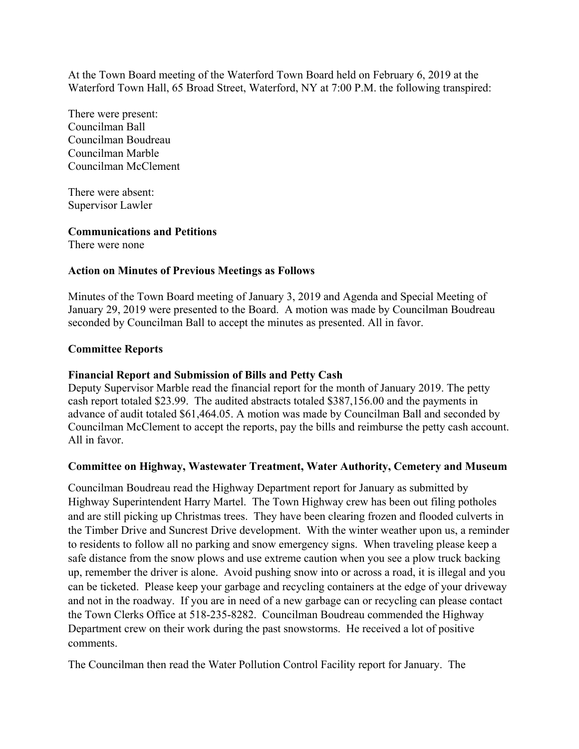At the Town Board meeting of the Waterford Town Board held on February 6, 2019 at the Waterford Town Hall, 65 Broad Street, Waterford, NY at 7:00 P.M. the following transpired:

There were present: Councilman Ball Councilman Boudreau Councilman Marble Councilman McClement

There were absent: Supervisor Lawler

# **Communications and Petitions**

There were none

## **Action on Minutes of Previous Meetings as Follows**

Minutes of the Town Board meeting of January 3, 2019 and Agenda and Special Meeting of January 29, 2019 were presented to the Board. A motion was made by Councilman Boudreau seconded by Councilman Ball to accept the minutes as presented. All in favor.

## **Committee Reports**

#### **Financial Report and Submission of Bills and Petty Cash**

Deputy Supervisor Marble read the financial report for the month of January 2019. The petty cash report totaled \$23.99. The audited abstracts totaled \$387,156.00 and the payments in advance of audit totaled \$61,464.05. A motion was made by Councilman Ball and seconded by Councilman McClement to accept the reports, pay the bills and reimburse the petty cash account. All in favor.

# **Committee on Highway, Wastewater Treatment, Water Authority, Cemetery and Museum**

Councilman Boudreau read the Highway Department report for January as submitted by Highway Superintendent Harry Martel. The Town Highway crew has been out filing potholes and are still picking up Christmas trees. They have been clearing frozen and flooded culverts in the Timber Drive and Suncrest Drive development. With the winter weather upon us, a reminder to residents to follow all no parking and snow emergency signs. When traveling please keep a safe distance from the snow plows and use extreme caution when you see a plow truck backing up, remember the driver is alone. Avoid pushing snow into or across a road, it is illegal and you can be ticketed. Please keep your garbage and recycling containers at the edge of your driveway and not in the roadway. If you are in need of a new garbage can or recycling can please contact the Town Clerks Office at 518-235-8282. Councilman Boudreau commended the Highway Department crew on their work during the past snowstorms. He received a lot of positive comments.

The Councilman then read the Water Pollution Control Facility report for January. The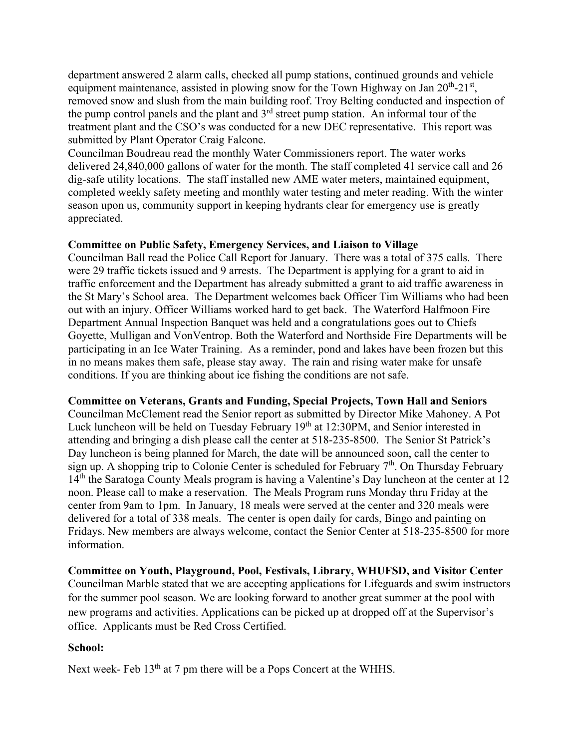department answered 2 alarm calls, checked all pump stations, continued grounds and vehicle equipment maintenance, assisted in plowing snow for the Town Highway on Jan  $20^{th}$ - $21^{st}$ , removed snow and slush from the main building roof. Troy Belting conducted and inspection of the pump control panels and the plant and  $3<sup>rd</sup>$  street pump station. An informal tour of the treatment plant and the CSO's was conducted for a new DEC representative. This report was submitted by Plant Operator Craig Falcone.

Councilman Boudreau read the monthly Water Commissioners report. The water works delivered 24,840,000 gallons of water for the month. The staff completed 41 service call and 26 dig-safe utility locations. The staff installed new AME water meters, maintained equipment, completed weekly safety meeting and monthly water testing and meter reading. With the winter season upon us, community support in keeping hydrants clear for emergency use is greatly appreciated.

# **Committee on Public Safety, Emergency Services, and Liaison to Village**

Councilman Ball read the Police Call Report for January. There was a total of 375 calls. There were 29 traffic tickets issued and 9 arrests. The Department is applying for a grant to aid in traffic enforcement and the Department has already submitted a grant to aid traffic awareness in the St Mary's School area. The Department welcomes back Officer Tim Williams who had been out with an injury. Officer Williams worked hard to get back. The Waterford Halfmoon Fire Department Annual Inspection Banquet was held and a congratulations goes out to Chiefs Goyette, Mulligan and VonVentrop. Both the Waterford and Northside Fire Departments will be participating in an Ice Water Training. As a reminder, pond and lakes have been frozen but this in no means makes them safe, please stay away. The rain and rising water make for unsafe conditions. If you are thinking about ice fishing the conditions are not safe.

# **Committee on Veterans, Grants and Funding, Special Projects, Town Hall and Seniors**

Councilman McClement read the Senior report as submitted by Director Mike Mahoney. A Pot Luck luncheon will be held on Tuesday February 19<sup>th</sup> at 12:30PM, and Senior interested in attending and bringing a dish please call the center at 518-235-8500. The Senior St Patrick's Day luncheon is being planned for March, the date will be announced soon, call the center to sign up. A shopping trip to Colonie Center is scheduled for February  $7<sup>th</sup>$ . On Thursday February 14<sup>th</sup> the Saratoga County Meals program is having a Valentine's Day luncheon at the center at 12 noon. Please call to make a reservation. The Meals Program runs Monday thru Friday at the center from 9am to 1pm. In January, 18 meals were served at the center and 320 meals were delivered for a total of 338 meals. The center is open daily for cards, Bingo and painting on Fridays. New members are always welcome, contact the Senior Center at 518-235-8500 for more information.

**Committee on Youth, Playground, Pool, Festivals, Library, WHUFSD, and Visitor Center**  Councilman Marble stated that we are accepting applications for Lifeguards and swim instructors for the summer pool season. We are looking forward to another great summer at the pool with new programs and activities. Applications can be picked up at dropped off at the Supervisor's office. Applicants must be Red Cross Certified.

# **School:**

Next week- Feb 13<sup>th</sup> at 7 pm there will be a Pops Concert at the WHHS.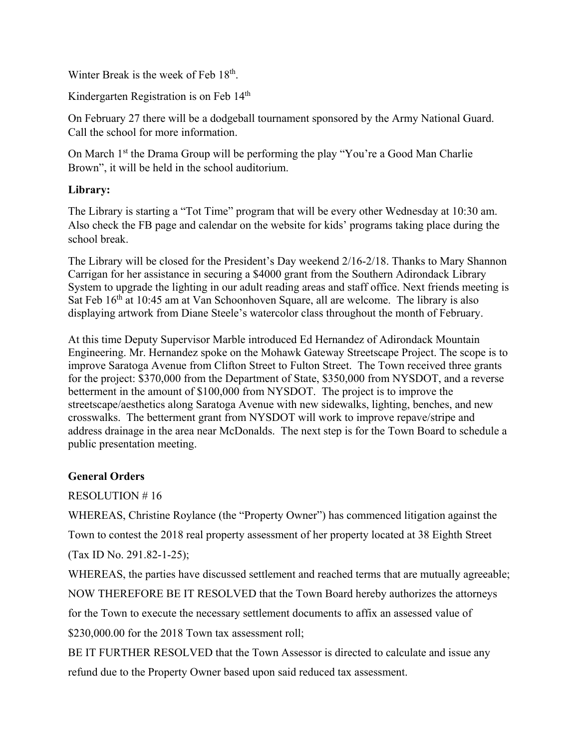Winter Break is the week of Feb 18<sup>th</sup>.

Kindergarten Registration is on Feb 14<sup>th</sup>

On February 27 there will be a dodgeball tournament sponsored by the Army National Guard. Call the school for more information.

On March 1<sup>st</sup> the Drama Group will be performing the play "You're a Good Man Charlie Brown", it will be held in the school auditorium.

# **Library:**

The Library is starting a "Tot Time" program that will be every other Wednesday at 10:30 am. Also check the FB page and calendar on the website for kids' programs taking place during the school break.

The Library will be closed for the President's Day weekend 2/16-2/18. Thanks to Mary Shannon Carrigan for her assistance in securing a \$4000 grant from the Southern Adirondack Library System to upgrade the lighting in our adult reading areas and staff office. Next friends meeting is Sat Feb 16<sup>th</sup> at 10:45 am at Van Schoonhoven Square, all are welcome. The library is also displaying artwork from Diane Steele's watercolor class throughout the month of February.

At this time Deputy Supervisor Marble introduced Ed Hernandez of Adirondack Mountain Engineering. Mr. Hernandez spoke on the Mohawk Gateway Streetscape Project. The scope is to improve Saratoga Avenue from Clifton Street to Fulton Street. The Town received three grants for the project: \$370,000 from the Department of State, \$350,000 from NYSDOT, and a reverse betterment in the amount of \$100,000 from NYSDOT. The project is to improve the streetscape/aesthetics along Saratoga Avenue with new sidewalks, lighting, benches, and new crosswalks. The betterment grant from NYSDOT will work to improve repave/stripe and address drainage in the area near McDonalds. The next step is for the Town Board to schedule a public presentation meeting.

# **General Orders**

RESOLUTION # 16

WHEREAS, Christine Roylance (the "Property Owner") has commenced litigation against the

Town to contest the 2018 real property assessment of her property located at 38 Eighth Street

(Tax ID No. 291.82-1-25);

WHEREAS, the parties have discussed settlement and reached terms that are mutually agreeable; NOW THEREFORE BE IT RESOLVED that the Town Board hereby authorizes the attorneys

for the Town to execute the necessary settlement documents to affix an assessed value of

\$230,000.00 for the 2018 Town tax assessment roll;

BE IT FURTHER RESOLVED that the Town Assessor is directed to calculate and issue any refund due to the Property Owner based upon said reduced tax assessment.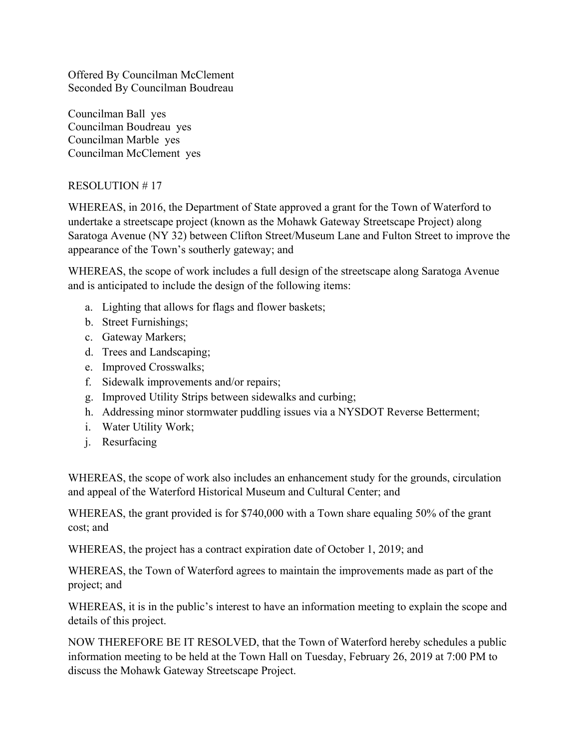Offered By Councilman McClement Seconded By Councilman Boudreau

Councilman Ball yes Councilman Boudreau yes Councilman Marble yes Councilman McClement yes

# RESOLUTION # 17

WHEREAS, in 2016, the Department of State approved a grant for the Town of Waterford to undertake a streetscape project (known as the Mohawk Gateway Streetscape Project) along Saratoga Avenue (NY 32) between Clifton Street/Museum Lane and Fulton Street to improve the appearance of the Town's southerly gateway; and

WHEREAS, the scope of work includes a full design of the streetscape along Saratoga Avenue and is anticipated to include the design of the following items:

- a. Lighting that allows for flags and flower baskets;
- b. Street Furnishings;
- c. Gateway Markers;
- d. Trees and Landscaping;
- e. Improved Crosswalks;
- f. Sidewalk improvements and/or repairs;
- g. Improved Utility Strips between sidewalks and curbing;
- h. Addressing minor stormwater puddling issues via a NYSDOT Reverse Betterment;
- i. Water Utility Work;
- j. Resurfacing

WHEREAS, the scope of work also includes an enhancement study for the grounds, circulation and appeal of the Waterford Historical Museum and Cultural Center; and

WHEREAS, the grant provided is for \$740,000 with a Town share equaling 50% of the grant cost; and

WHEREAS, the project has a contract expiration date of October 1, 2019; and

WHEREAS, the Town of Waterford agrees to maintain the improvements made as part of the project; and

WHEREAS, it is in the public's interest to have an information meeting to explain the scope and details of this project.

NOW THEREFORE BE IT RESOLVED, that the Town of Waterford hereby schedules a public information meeting to be held at the Town Hall on Tuesday, February 26, 2019 at 7:00 PM to discuss the Mohawk Gateway Streetscape Project.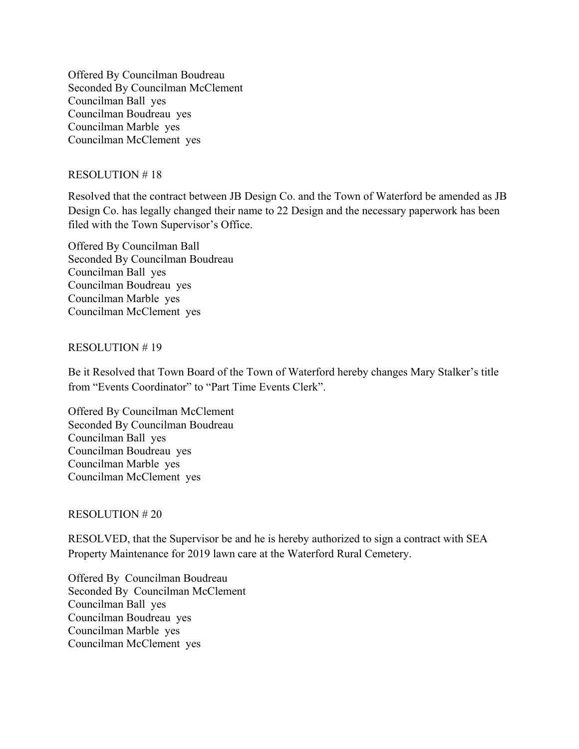Offered By Councilman Boudreau Seconded By Councilman McClement Councilman Ball yes Councilman Boudreau yes Councilman Marble yes Councilman McClement yes

## RESOLUTION # 18

Resolved that the contract between JB Design Co. and the Town of Waterford be amended as JB Design Co. has legally changed their name to 22 Design and the necessary paperwork has been filed with the Town Supervisor's Office.

Offered By Councilman Ball Seconded By Councilman Boudreau Councilman Ball yes Councilman Boudreau yes Councilman Marble yes Councilman McClement yes

## RESOLUTION # 19

Be it Resolved that Town Board of the Town of Waterford hereby changes Mary Stalker's title from "Events Coordinator" to "Part Time Events Clerk".

Offered By Councilman McClement Seconded By Councilman Boudreau Councilman Ball yes Councilman Boudreau yes Councilman Marble yes Councilman McClement yes

# RESOLUTION # 20

RESOLVED, that the Supervisor be and he is hereby authorized to sign a contract with SEA Property Maintenance for 2019 lawn care at the Waterford Rural Cemetery.

Offered By Councilman Boudreau Seconded By Councilman McClement Councilman Ball yes Councilman Boudreau yes Councilman Marble yes Councilman McClement yes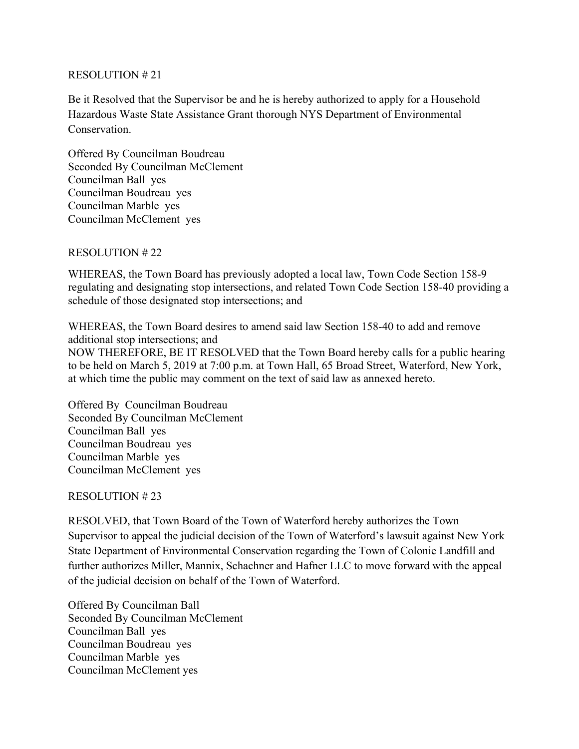## RESOLUTION # 21

Be it Resolved that the Supervisor be and he is hereby authorized to apply for a Household Hazardous Waste State Assistance Grant thorough NYS Department of Environmental Conservation.

Offered By Councilman Boudreau Seconded By Councilman McClement Councilman Ball yes Councilman Boudreau yes Councilman Marble yes Councilman McClement yes

## RESOLUTION # 22

WHEREAS, the Town Board has previously adopted a local law, Town Code Section 158-9 regulating and designating stop intersections, and related Town Code Section 158-40 providing a schedule of those designated stop intersections; and

WHEREAS, the Town Board desires to amend said law Section 158-40 to add and remove additional stop intersections; and NOW THEREFORE, BE IT RESOLVED that the Town Board hereby calls for a public hearing to be held on March 5, 2019 at 7:00 p.m. at Town Hall, 65 Broad Street, Waterford, New York, at which time the public may comment on the text of said law as annexed hereto.

Offered By Councilman Boudreau Seconded By Councilman McClement Councilman Ball yes Councilman Boudreau yes Councilman Marble yes Councilman McClement yes

# RESOLUTION # 23

RESOLVED, that Town Board of the Town of Waterford hereby authorizes the Town Supervisor to appeal the judicial decision of the Town of Waterford's lawsuit against New York State Department of Environmental Conservation regarding the Town of Colonie Landfill and further authorizes Miller, Mannix, Schachner and Hafner LLC to move forward with the appeal of the judicial decision on behalf of the Town of Waterford.

Offered By Councilman Ball Seconded By Councilman McClement Councilman Ball yes Councilman Boudreau yes Councilman Marble yes Councilman McClement yes